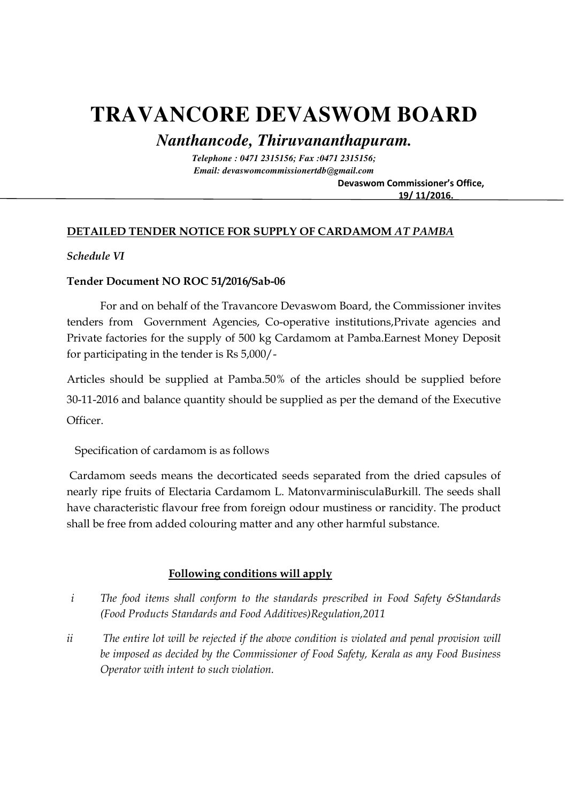# **TRAVANCORE DEVASWOM BOARD**

*Nanthancode, Thiruvananthapuram.* 

*Telephone : 0471 2315156; Fax :0471 2315156; Email: devaswomcommissionertdb@gmail.com*   **Devaswom Commissioner's Office,** 

 **19/ 11/2016.**

# **DETAILED TENDER NOTICE FOR SUPPLY OF CARDAMOM** *AT PAMBA*

## *Schedule VI*

#### **Tender Document NO ROC 51/2016/Sab-06**

For and on behalf of the Travancore Devaswom Board, the Commissioner invites tenders from Government Agencies, Co-operative institutions,Private agencies and Private factories for the supply of 500 kg Cardamom at Pamba.Earnest Money Deposit for participating in the tender is Rs 5,000/-

Articles should be supplied at Pamba.50% of the articles should be supplied before 30-11-2016 and balance quantity should be supplied as per the demand of the Executive Officer.

Specification of cardamom is as follows

 Cardamom seeds means the decorticated seeds separated from the dried capsules of nearly ripe fruits of Electaria Cardamom L. MatonvarminisculaBurkill. The seeds shall have characteristic flavour free from foreign odour mustiness or rancidity. The product shall be free from added colouring matter and any other harmful substance.

## **Following conditions will apply**

- *i The food items shall conform to the standards prescribed in Food Safety &Standards (Food Products Standards and Food Additives)Regulation,2011*
- *ii The entire lot will be rejected if the above condition is violated and penal provision will be imposed as decided by the Commissioner of Food Safety, Kerala as any Food Business Operator with intent to such violation.*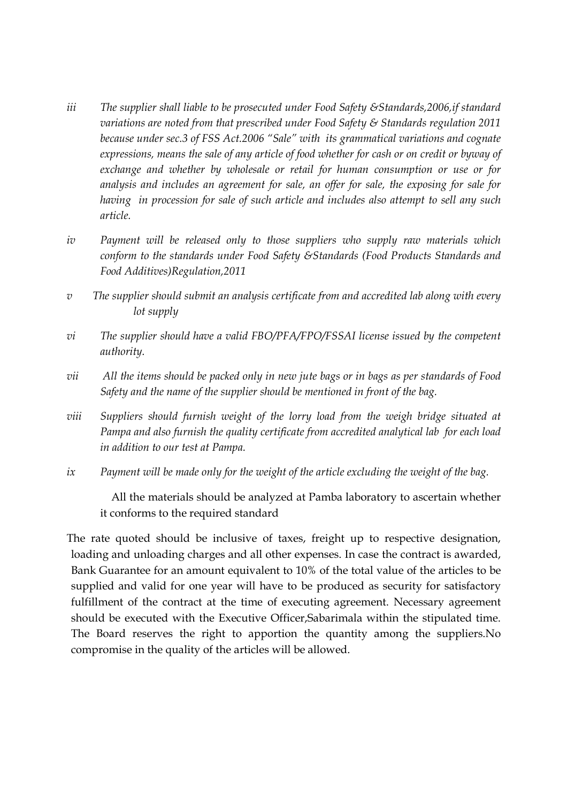- *iii The supplier shall liable to be prosecuted under Food Safety &Standards,2006,if standard variations are noted from that prescribed under Food Safety & Standards regulation 2011 because under sec.3 of FSS Act.2006 "Sale" with its grammatical variations and cognate expressions, means the sale of any article of food whether for cash or on credit or byway of exchange and whether by wholesale or retail for human consumption or use or for analysis and includes an agreement for sale, an offer for sale, the exposing for sale for having in procession for sale of such article and includes also attempt to sell any such article.*
- *iv Payment will be released only to those suppliers who supply raw materials which conform to the standards under Food Safety &Standards (Food Products Standards and Food Additives)Regulation,2011*
- *v The supplier should submit an analysis certificate from and accredited lab along with every lot supply*
- *vi The supplier should have a valid FBO/PFA/FPO/FSSAI license issued by the competent authority.*
- *vii All the items should be packed only in new jute bags or in bags as per standards of Food Safety and the name of the supplier should be mentioned in front of the bag.*
- *viii Suppliers should furnish weight of the lorry load from the weigh bridge situated at Pampa and also furnish the quality certificate from accredited analytical lab for each load in addition to our test at Pampa.*
- *ix Payment will be made only for the weight of the article excluding the weight of the bag.*

 All the materials should be analyzed at Pamba laboratory to ascertain whether it conforms to the required standard

The rate quoted should be inclusive of taxes, freight up to respective designation, loading and unloading charges and all other expenses. In case the contract is awarded, Bank Guarantee for an amount equivalent to 10% of the total value of the articles to be supplied and valid for one year will have to be produced as security for satisfactory fulfillment of the contract at the time of executing agreement. Necessary agreement should be executed with the Executive Officer,Sabarimala within the stipulated time. The Board reserves the right to apportion the quantity among the suppliers.No compromise in the quality of the articles will be allowed.